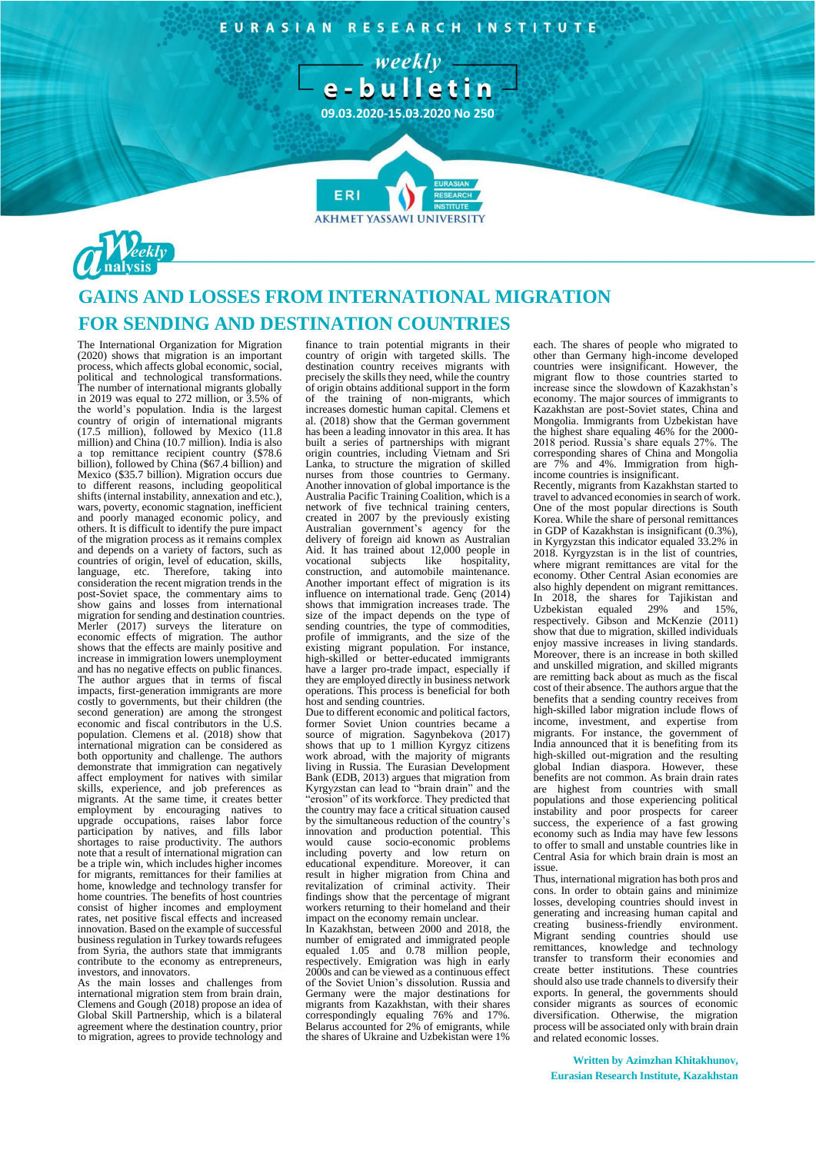EURASIAN RESEARCH INSTITUTE

 $-$  weekly  $$ e-bulletin

**09.03.2020-15.03.2020 No 250**

**AKHMET YASSAWI UNIVERSIT** 



## **GAINS AND LOSSES FROM INTERNATIONAL MIGRATION FOR SENDING AND DESTINATION COUNTRIES**

ERI

The International Organization for Migration (2020) shows that migration is an important process, which affects global economic, social, political and technological transformations. The number of international migrants globally in 2019 was equal to 272 million, or 3.5% of the world's population. India is the largest country of origin of international migrants (17.5 million), followed by Mexico (11.8 million) and China (10.7 million). India is also a top remittance recipient country (\$78.6 billion), followed by China (\$67.4 billion) and Mexico (\$35.7 billion). Migration occurs due to different reasons, including geopolitical shifts (internal instability, annexation and etc.), wars, poverty, economic stagnation, inefficient and poorly managed economic policy, and others. It is difficult to identify the pure impact of the migration process as it remains complex and depends on a variety of factors, such as countries of origin, level of education, skills, language, etc. Therefore, taking into consideration the recent migration trends in the post-Soviet space, the commentary aims to show gains and losses from international migration for sending and destination countries. Merler (2017) surveys the literature on economic effects of migration. The author shows that the effects are mainly positive and increase in immigration lowers unemployment and has no negative effects on public finances. The author argues that in terms of fiscal impacts, first-generation immigrants are more costly to governments, but their children (the second generation) are among the strongest economic and fiscal contributors in the U.S. population. Clemens et al. (2018) show that international migration can be considered as both opportunity and challenge. The authors demonstrate that immigration can negatively affect employment for natives with similar skills, experience, and job preferences as migrants. At the same time, it creates better employment by encouraging natives to upgrade occupations, raises labor force participation by natives, and fills labor shortages to raise productivity. The authors note that a result of international migration can be a triple win, which includes higher incomes for migrants, remittances for their families at home, knowledge and technology transfer for home countries. The benefits of host countries consist of higher incomes and employment rates, net positive fiscal effects and increased innovation. Based on the example of successful business regulation in Turkey towards refugees from Syria, the authors state that immigrants contribute to the economy as entrepreneurs, investors, and innovators.

As the main losses and challenges from international migration stem from brain drain, Clemens and Gough (2018) propose an idea of Global Skill Partnership, which is a bilateral agreement where the destination country, prior to migration, agrees to provide technology and

finance to train potential migrants in their country of origin with targeted skills. The destination country receives migrants with precisely the skills they need, while the country of origin obtains additional support in the form of the training of non-migrants, which increases domestic human capital. Clemens et al. (2018) show that the German government has been a leading innovator in this area. It has built a series of partnerships with migrant origin countries, including Vietnam and Sri Lanka, to structure the migration of skilled nurses from those countries to Germany. Another innovation of global importance is the Australia Pacific Training Coalition, which is a network of five technical training centers, created in 2007 by the previously existing Australian government's agency for the delivery of foreign aid known as Australian Aid. It has trained about 12,000 people in vocational subjects like hospitality, construction, and automobile maintenance. Another important effect of migration is its influence on international trade. Genç (2014) shows that immigration increases trade. The size of the impact depends on the type of sending countries, the type of commodities, profile of immigrants, and the size of the existing migrant population. For instance, high-skilled or better-educated immigrants have a larger pro-trade impact, especially if they are employed directly in business network operations. This process is beneficial for both host and sending countries.

Due to different economic and political factors, former Soviet Union countries became a source of migration. Sagynbekova (2017) shows that up to 1 million Kyrgyz citizens work abroad, with the majority of migrants living in Russia. The Eurasian Development Bank (EDB, 2013) argues that migration from Kyrgyzstan can lead to "brain drain" and the "erosion" of its workforce. They predicted that the country may face a critical situation caused by the simultaneous reduction of the country's innovation and production potential. This would cause socio-economic problems including poverty and low return on educational expenditure. Moreover, it can result in higher migration from China and revitalization of criminal activity. Their findings show that the percentage of migrant workers returning to their homeland and their impact on the economy remain unclear.

In Kazakhstan, between 2000 and 2018, the number of emigrated and immigrated people equaled 1.05 and 0.78 million people, respectively. Emigration was high in early 2000s and can be viewed as a continuous effect of the Soviet Union's dissolution. Russia and Germany were the major destinations for migrants from Kazakhstan, with their shares correspondingly equaling 76% and 17%. Belarus accounted for 2% of emigrants, while the shares of Ukraine and Uzbekistan were 1%

each. The shares of people who migrated to other than Germany high-income developed countries were insignificant. However, the migrant flow to those countries started to increase since the slowdown of Kazakhstan's economy. The major sources of immigrants to Kazakhstan are post-Soviet states, China and Mongolia. Immigrants from Uzbekistan have the highest share equaling 46% for the 2000- 2018 period. Russia's share equals 27%. The corresponding shares of China and Mongolia are 7% and 4%. Immigration from highincome countries is insignificant.

Recently, migrants from Kazakhstan started to travel to advanced economies in search of work. One of the most popular directions is South Korea. While the share of personal remittances in GDP of Kazakhstan is insignificant (0.3%), in Kyrgyzstan this indicator equaled 33.2% in 2018. Kyrgyzstan is in the list of countries, where migrant remittances are vital for the economy. Other Central Asian economies are also highly dependent on migrant remittances. In 2018, the shares for Tajikistan and Uzbekistan equaled 29% and 15%, respectively. Gibson and McKenzie (2011) show that due to migration, skilled individuals enjoy massive increases in living standards. Moreover, there is an increase in both skilled and unskilled migration, and skilled migrants are remitting back about as much as the fiscal cost of their absence. The authors argue that the benefits that a sending country receives from high-skilled labor migration include flows of income, investment, and expertise from migrants. For instance, the government of India announced that it is benefiting from its high-skilled out-migration and the resulting global Indian diaspora. However, these benefits are not common. As brain drain rates are highest from countries with small populations and those experiencing political instability and poor prospects for career success, the experience of a fast growing economy such as India may have few lessons to offer to small and unstable countries like in Central Asia for which brain drain is most an issue.

Thus, international migration has both pros and cons. In order to obtain gains and minimize losses, developing countries should invest in generating and increasing human capital and<br>creating business-friendly environment. creating business-friendly environment. Migrant sending countries should use remittances, knowledge and technology transfer to transform their economies and create better institutions. These countries should also use trade channels to diversify their exports. In general, the governments should consider migrants as sources of economic diversification. Otherwise, the migration process will be associated only with brain drain and related economic losses.

**Written by Azimzhan Khitakhunov, Eurasian Research Institute, Kazakhstan**